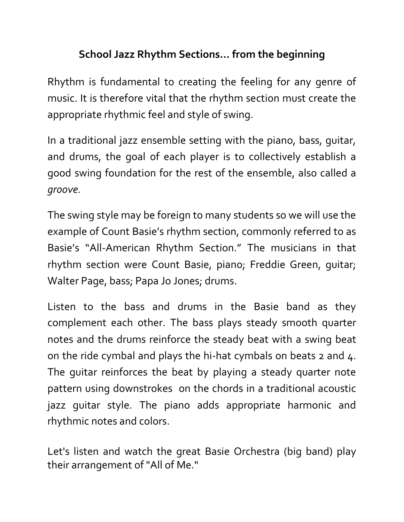## **School Jazz Rhythm Sections… from the beginning**

Rhythm is fundamental to creating the feeling for any genre of music. It is therefore vital that the rhythm section must create the appropriate rhythmic feel and style of swing.

In a traditional jazz ensemble setting with the piano, bass, guitar, and drums, the goal of each player is to collectively establish a good swing foundation for the rest of the ensemble, also called a *groove.* 

The swing style may be foreign to many students so we will use the example of Count Basie's rhythm section, commonly referred to as Basie's "All-American Rhythm Section." The musicians in that rhythm section were Count Basie, piano; Freddie Green, guitar; Walter Page, bass; Papa Jo Jones; drums.

Listen to the bass and drums in the Basie band as they complement each other. The bass plays steady smooth quarter notes and the drums reinforce the steady beat with a swing beat on the ride cymbal and plays the hi-hat cymbals on beats 2 and 4. The guitar reinforces the beat by playing a steady quarter note pattern using downstrokes on the chords in a traditional acoustic jazz guitar style. The piano adds appropriate harmonic and rhythmic notes and colors.

Let's listen and watch the great Basie Orchestra (big band) play their arrangement of "All of Me."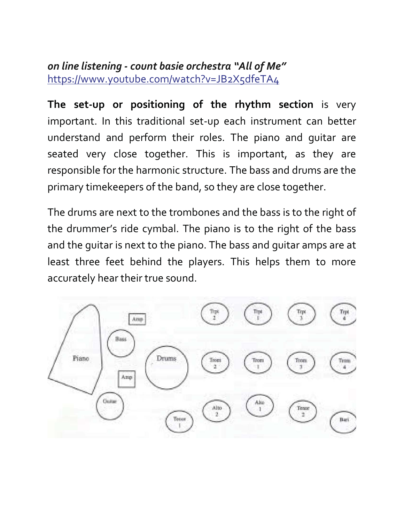#### *on line listening - count basie orchestra "All of Me"*  https://www.youtube.com/watch?v=JB2X5dfeTA4

**The set-up or positioning of the rhythm section** is very important. In this traditional set-up each instrument can better understand and perform their roles. The piano and guitar are seated very close together. This is important, as they are responsible for the harmonic structure. The bass and drums are the primary timekeepers of the band, so they are close together.

The drums are next to the trombones and the bass is to the right of the drummer's ride cymbal. The piano is to the right of the bass and the guitar is next to the piano. The bass and guitar amps are at least three feet behind the players. This helps them to more accurately hear their true sound.

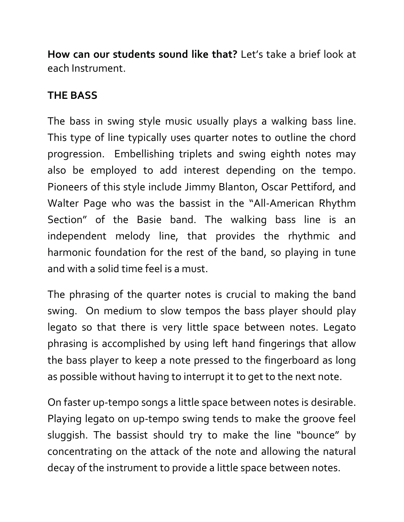**How can our students sound like that?** Let's take a brief look at each Instrument.

## **THE BASS**

The bass in swing style music usually plays a walking bass line. This type of line typically uses quarter notes to outline the chord progression. Embellishing triplets and swing eighth notes may also be employed to add interest depending on the tempo. Pioneers of this style include Jimmy Blanton, Oscar Pettiford, and Walter Page who was the bassist in the "All-American Rhythm Section" of the Basie band. The walking bass line is an independent melody line, that provides the rhythmic and harmonic foundation for the rest of the band, so playing in tune and with a solid time feel is a must.

The phrasing of the quarter notes is crucial to making the band swing. On medium to slow tempos the bass player should play legato so that there is very little space between notes. Legato phrasing is accomplished by using left hand fingerings that allow the bass player to keep a note pressed to the fingerboard as long as possible without having to interrupt it to get to the next note.

On faster up-tempo songs a little space between notes is desirable. Playing legato on up-tempo swing tends to make the groove feel sluggish. The bassist should try to make the line "bounce" by concentrating on the attack of the note and allowing the natural decay of the instrument to provide a little space between notes.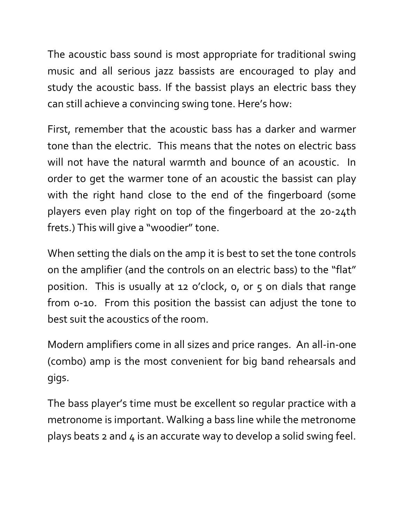The acoustic bass sound is most appropriate for traditional swing music and all serious jazz bassists are encouraged to play and study the acoustic bass. If the bassist plays an electric bass they can still achieve a convincing swing tone. Here's how:

First, remember that the acoustic bass has a darker and warmer tone than the electric. This means that the notes on electric bass will not have the natural warmth and bounce of an acoustic. In order to get the warmer tone of an acoustic the bassist can play with the right hand close to the end of the fingerboard (some players even play right on top of the fingerboard at the 20-24th frets.) This will give a "woodier" tone.

When setting the dials on the amp it is best to set the tone controls on the amplifier (and the controls on an electric bass) to the "flat" position. This is usually at 12 o'clock, 0, or 5 on dials that range from 0-10. From this position the bassist can adjust the tone to best suit the acoustics of the room.

Modern amplifiers come in all sizes and price ranges. An all-in-one (combo) amp is the most convenient for big band rehearsals and gigs.

The bass player's time must be excellent so regular practice with a metronome is important. Walking a bass line while the metronome plays beats  $2$  and  $4$  is an accurate way to develop a solid swing feel.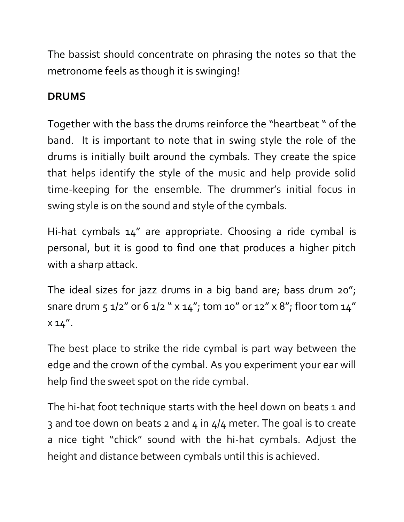The bassist should concentrate on phrasing the notes so that the metronome feels as though it is swinging!

# **DRUMS**

Together with the bass the drums reinforce the "heartbeat " of the band. It is important to note that in swing style the role of the drums is initially built around the cymbals. They create the spice that helps identify the style of the music and help provide solid time-keeping for the ensemble. The drummer's initial focus in swing style is on the sound and style of the cymbals.

Hi-hat cymbals 14" are appropriate. Choosing a ride cymbal is personal, but it is good to find one that produces a higher pitch with a sharp attack.

The ideal sizes for jazz drums in a big band are; bass drum 20"; snare drum 5 1/2" or 6 1/2 " x 14"; tom 10" or 12" x 8"; floor tom 14"  $x 14''.$ 

The best place to strike the ride cymbal is part way between the edge and the crown of the cymbal. As you experiment your ear will help find the sweet spot on the ride cymbal.

The hi-hat foot technique starts with the heel down on beats 1 and 3 and toe down on beats 2 and 4 in  $4/4$  meter. The goal is to create a nice tight "chick" sound with the hi-hat cymbals. Adjust the height and distance between cymbals until this is achieved.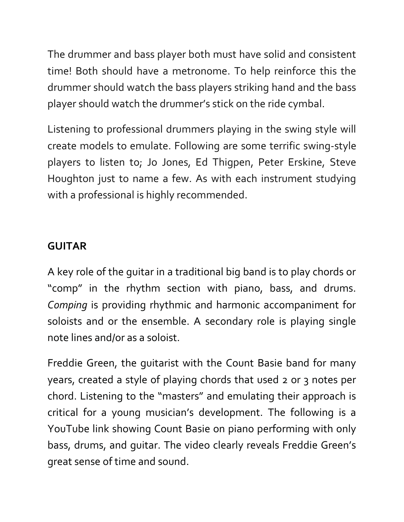The drummer and bass player both must have solid and consistent time! Both should have a metronome. To help reinforce this the drummer should watch the bass players striking hand and the bass player should watch the drummer's stick on the ride cymbal.

Listening to professional drummers playing in the swing style will create models to emulate. Following are some terrific swing-style players to listen to; Jo Jones, Ed Thigpen, Peter Erskine, Steve Houghton just to name a few. As with each instrument studying with a professional is highly recommended.

### **GUITAR**

A key role of the guitar in a traditional big band is to play chords or "comp" in the rhythm section with piano, bass, and drums. *Comping* is providing rhythmic and harmonic accompaniment for soloists and or the ensemble. A secondary role is playing single note lines and/or as a soloist.

Freddie Green, the guitarist with the Count Basie band for many years, created a style of playing chords that used 2 or 3 notes per chord. Listening to the "masters" and emulating their approach is critical for a young musician's development. The following is a YouTube link showing Count Basie on piano performing with only bass, drums, and guitar. The video clearly reveals Freddie Green's great sense of time and sound.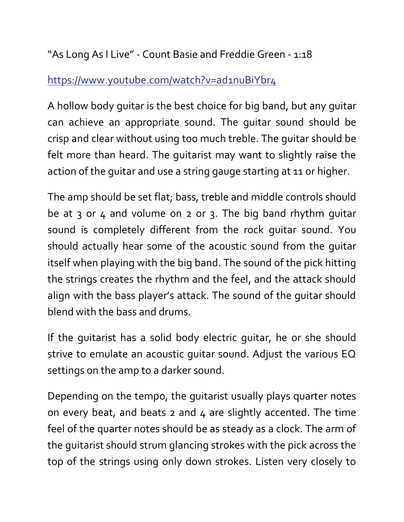"As Long As I Live" - Count Basie and Freddie Green - 1:18

### https://www.youtube.com/watch?v=ad1nuBiYbr4

A hollow body guitar is the best choice for big band, but any guitar can achieve an appropriate sound. The guitar sound should be crisp and clear without using too much treble. The guitar should be felt more than heard. The guitarist may want to slightly raise the action of the guitar and use a string gauge starting at 11 or higher.

The amp should be set flat; bass, treble and middle controls should be at 3 or 4 and volume on 2 or 3. The big band rhythm quitar sound is completely different from the rock guitar sound. You should actually hear some of the acoustic sound from the guitar itself when playing with the big band. The sound of the pick hitting the strings creates the rhythm and the feel, and the attack should align with the bass player's attack. The sound of the guitar should blend with the bass and drums.

If the guitarist has a solid body electric guitar, he or she should strive to emulate an acoustic guitar sound. Adjust the various EQ settings on the amp to a darker sound.

Depending on the tempo, the guitarist usually plays quarter notes on every beat, and beats  $2$  and  $4$  are slightly accented. The time feel of the quarter notes should be as steady as a clock. The arm of the guitarist should strum glancing strokes with the pick across the top of the strings using only down strokes. Listen very closely to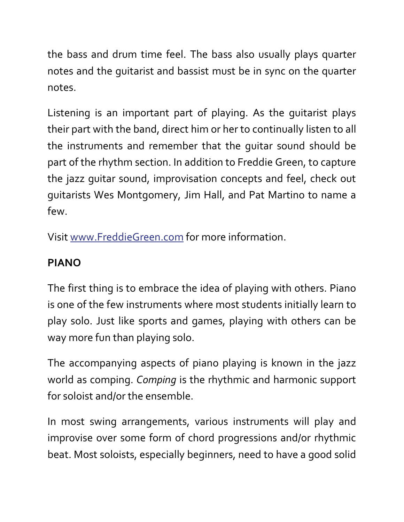the bass and drum time feel. The bass also usually plays quarter notes and the guitarist and bassist must be in sync on the quarter notes.

Listening is an important part of playing. As the guitarist plays their part with the band, direct him or her to continually listen to all the instruments and remember that the guitar sound should be part of the rhythm section. In addition to Freddie Green, to capture the jazz guitar sound, improvisation concepts and feel, check out guitarists Wes Montgomery, Jim Hall, and Pat Martino to name a few.

Visit www.FreddieGreen.com for more information.

# **PIANO**

The first thing is to embrace the idea of playing with others. Piano is one of the few instruments where most students initially learn to play solo. Just like sports and games, playing with others can be way more fun than playing solo.

The accompanying aspects of piano playing is known in the jazz world as comping. *Comping* is the rhythmic and harmonic support for soloist and/or the ensemble.

In most swing arrangements, various instruments will play and improvise over some form of chord progressions and/or rhythmic beat. Most soloists, especially beginners, need to have a good solid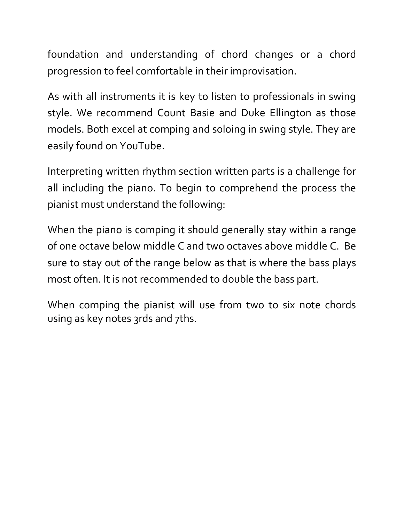foundation and understanding of chord changes or a chord progression to feel comfortable in their improvisation.

As with all instruments it is key to listen to professionals in swing style. We recommend Count Basie and Duke Ellington as those models. Both excel at comping and soloing in swing style. They are easily found on YouTube.

Interpreting written rhythm section written parts is a challenge for all including the piano. To begin to comprehend the process the pianist must understand the following:

When the piano is comping it should generally stay within a range of one octave below middle C and two octaves above middle C. Be sure to stay out of the range below as that is where the bass plays most often. It is not recommended to double the bass part.

When comping the pianist will use from two to six note chords using as key notes 3rds and 7ths.